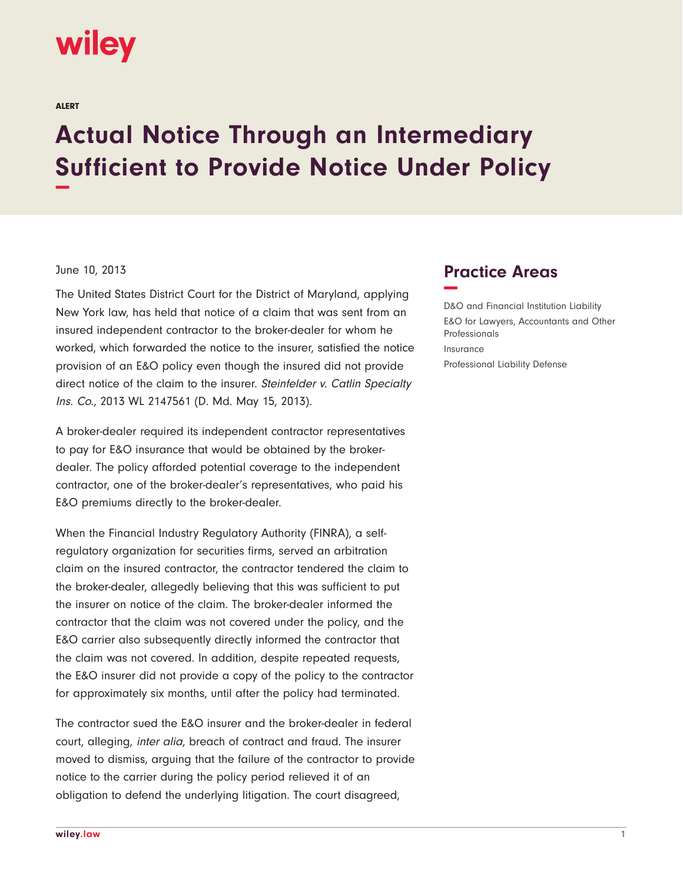## wiley

ALERT

## **Actual Notice Through an Intermediary Sufficient to Provide Notice Under Policy −**

## June 10, 2013

The United States District Court for the District of Maryland, applying New York law, has held that notice of a claim that was sent from an insured independent contractor to the broker-dealer for whom he worked, which forwarded the notice to the insurer, satisfied the notice provision of an E&O policy even though the insured did not provide direct notice of the claim to the insurer. Steinfelder v. Catlin Specialty Ins. Co., 2013 WL 2147561 (D. Md. May 15, 2013).

A broker-dealer required its independent contractor representatives to pay for E&O insurance that would be obtained by the brokerdealer. The policy afforded potential coverage to the independent contractor, one of the broker-dealer's representatives, who paid his E&O premiums directly to the broker-dealer.

When the Financial Industry Regulatory Authority (FINRA), a selfregulatory organization for securities firms, served an arbitration claim on the insured contractor, the contractor tendered the claim to the broker-dealer, allegedly believing that this was sufficient to put the insurer on notice of the claim. The broker-dealer informed the contractor that the claim was not covered under the policy, and the E&O carrier also subsequently directly informed the contractor that the claim was not covered. In addition, despite repeated requests, the E&O insurer did not provide a copy of the policy to the contractor for approximately six months, until after the policy had terminated.

The contractor sued the E&O insurer and the broker-dealer in federal court, alleging, inter alia, breach of contract and fraud. The insurer moved to dismiss, arguing that the failure of the contractor to provide notice to the carrier during the policy period relieved it of an obligation to defend the underlying litigation. The court disagreed,

## **Practice Areas −**

D&O and Financial Institution Liability E&O for Lawyers, Accountants and Other Professionals Insurance Professional Liability Defense